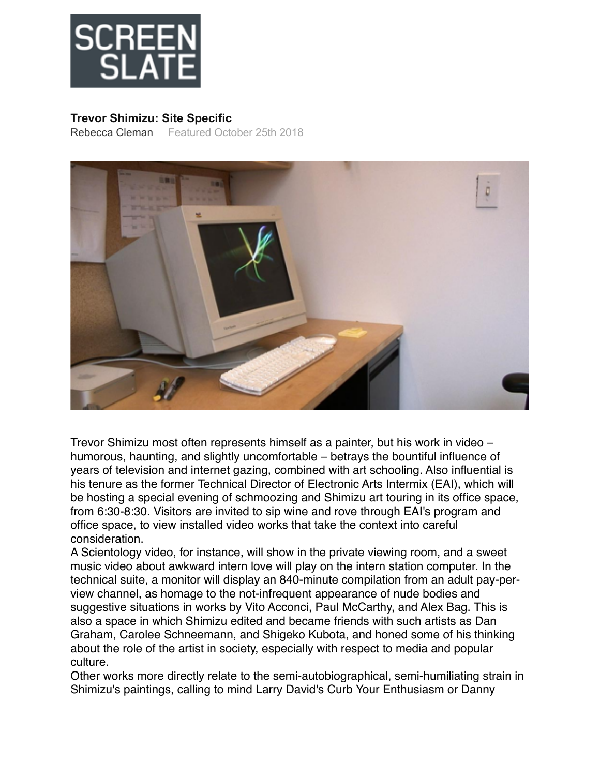

## **Trevor Shimizu: Site Specific**

[Rebecca Cleman](https://www.screenslate.com/authors/7) Featured October 25th 2018



[Trevor Shimizu m](http://www.eai.org/artists/trevor-shimizu/titles)ost often represents himself as a painter, but his work in video – humorous, haunting, and slightly uncomfortable – betrays the bountiful influence of years of television and internet gazing, combined with art schooling. Also influential is his tenure as the former Technical Director of [Electronic Arts Intermix \(EAI\),](https://www.screenslate.com/venues/36) which will be hosting a special evening of schmoozing and Shimizu art touring in its office space, from 6:30-8:30. Visitors are invited to sip wine and rove through EAI's program and office space, to view installed video works that take the context into careful consideration.

A Scientology video, for instance, will show in the private viewing room, and a sweet music video about awkward intern love will play on the intern station computer. In the technical suite, a monitor will display an 840-minute compilation from an adult pay-perview channel, as homage to the not-infrequent appearance of nude bodies and suggestive situations in works by Vito Acconci, Paul McCarthy, and Alex Bag. This is also a space in which Shimizu edited and became friends with such artists as Dan Graham, Carolee Schneemann, and Shigeko Kubota, and honed some of his thinking about the role of the artist in society, especially with respect to media and popular culture.

Other works more directly relate to the semi-autobiographical, semi-humiliating strain in Shimizu's paintings, calling to mind Larry David's Curb Your Enthusiasm or Danny